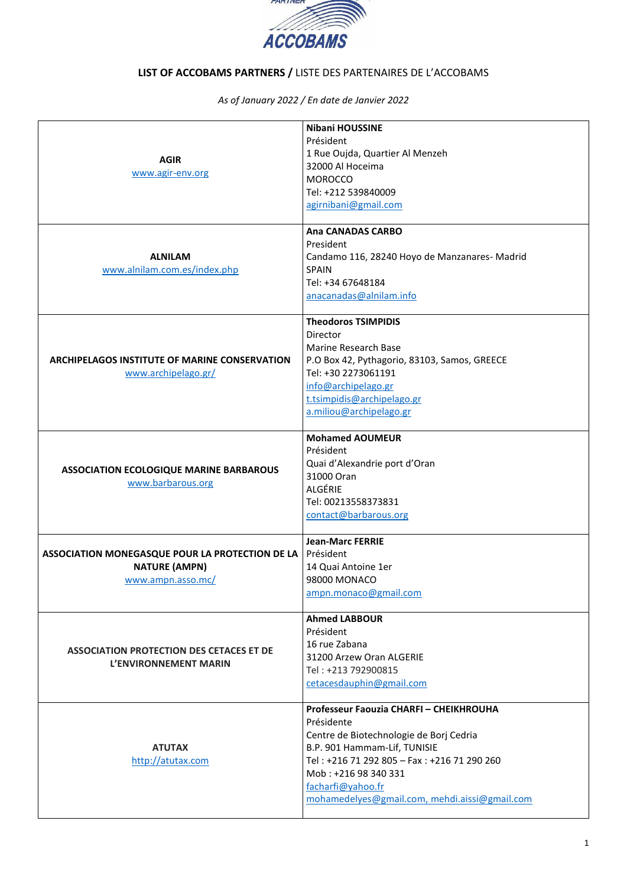

## **LIST OF ACCOBAMS PARTNERS /** LISTE DES PARTENAIRES DE L'ACCOBAMS

*As of January 2022 / En date de Janvier 2022*

| <b>AGIR</b><br>www.agir-env.org                                                              | <b>Nibani HOUSSINE</b><br>Président<br>1 Rue Oujda, Quartier Al Menzeh<br>32000 Al Hoceima<br><b>MOROCCO</b><br>Tel: +212 539840009<br>agirnibani@gmail.com                                                                                                                   |
|----------------------------------------------------------------------------------------------|-------------------------------------------------------------------------------------------------------------------------------------------------------------------------------------------------------------------------------------------------------------------------------|
| <b>ALNILAM</b><br>www.alnilam.com.es/index.php                                               | <b>Ana CANADAS CARBO</b><br>President<br>Candamo 116, 28240 Hoyo de Manzanares-Madrid<br><b>SPAIN</b><br>Tel: +34 67648184<br>anacanadas@alnilam.info                                                                                                                         |
| <b>ARCHIPELAGOS INSTITUTE OF MARINE CONSERVATION</b><br>www.archipelago.gr/                  | <b>Theodoros TSIMPIDIS</b><br>Director<br><b>Marine Research Base</b><br>P.O Box 42, Pythagorio, 83103, Samos, GREECE<br>Tel: +30 2273061191<br>info@archipelago.gr<br>t.tsimpidis@archipelago.gr<br>a.miliou@archipelago.gr                                                  |
| <b>ASSOCIATION ECOLOGIQUE MARINE BARBAROUS</b><br>www.barbarous.org                          | <b>Mohamed AOUMEUR</b><br>Président<br>Quai d'Alexandrie port d'Oran<br>31000 Oran<br>ALGÉRIE<br>Tel: 00213558373831<br>contact@barbarous.org                                                                                                                                 |
| ASSOCIATION MONEGASQUE POUR LA PROTECTION DE LA<br><b>NATURE (AMPN)</b><br>www.ampn.asso.mc/ | <b>Jean-Marc FERRIE</b><br>Président<br>14 Quai Antoine 1er<br>98000 MONACO<br>ampn.monaco@gmail.com                                                                                                                                                                          |
| <b>ASSOCIATION PROTECTION DES CETACES ET DE</b><br>L'ENVIRONNEMENT MARIN                     | <b>Ahmed LABBOUR</b><br>Président<br>16 rue Zabana<br>31200 Arzew Oran ALGERIE<br>Tel: +213 792900815<br>cetacesdauphin@gmail.com                                                                                                                                             |
| <b>ATUTAX</b><br>http://atutax.com                                                           | Professeur Faouzia CHARFI - CHEIKHROUHA<br>Présidente<br>Centre de Biotechnologie de Borj Cedria<br>B.P. 901 Hammam-Lif, TUNISIE<br>Tel: +216 71 292 805 - Fax: +216 71 290 260<br>Mob: +216 98 340 331<br>facharfi@yahoo.fr<br>mohamedelyes@gmail.com, mehdi.aissi@gmail.com |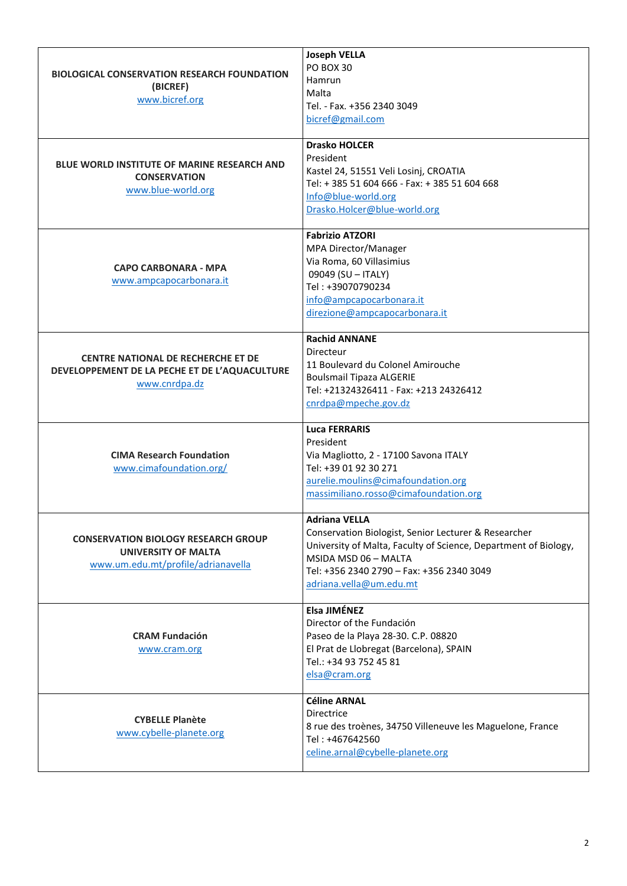| <b>BIOLOGICAL CONSERVATION RESEARCH FOUNDATION</b><br>(BICREF)<br>www.bicref.org                               | <b>Joseph VELLA</b><br>PO BOX 30<br>Hamrun<br>Malta<br>Tel. - Fax. +356 2340 3049<br>bicref@gmail.com                                                                                                                                           |
|----------------------------------------------------------------------------------------------------------------|-------------------------------------------------------------------------------------------------------------------------------------------------------------------------------------------------------------------------------------------------|
| <b>BLUE WORLD INSTITUTE OF MARINE RESEARCH AND</b><br><b>CONSERVATION</b><br>www.blue-world.org                | <b>Drasko HOLCER</b><br>President<br>Kastel 24, 51551 Veli Losinj, CROATIA<br>Tel: +385 51 604 666 - Fax: +385 51 604 668<br>Info@blue-world.org<br>Drasko.Holcer@blue-world.org                                                                |
| <b>CAPO CARBONARA - MPA</b><br>www.ampcapocarbonara.it                                                         | <b>Fabrizio ATZORI</b><br>MPA Director/Manager<br>Via Roma, 60 Villasimius<br>09049 (SU - ITALY)<br>Tel: +39070790234<br>info@ampcapocarbonara.it<br>direzione@ampcapocarbonara.it                                                              |
| <b>CENTRE NATIONAL DE RECHERCHE ET DE</b><br>DEVELOPPEMENT DE LA PECHE ET DE L'AQUACULTURE<br>www.cnrdpa.dz    | <b>Rachid ANNANE</b><br>Directeur<br>11 Boulevard du Colonel Amirouche<br><b>Boulsmail Tipaza ALGERIE</b><br>Tel: +21324326411 - Fax: +213 24326412<br>cnrdpa@mpeche.gov.dz                                                                     |
| <b>CIMA Research Foundation</b><br>www.cimafoundation.org/                                                     | <b>Luca FERRARIS</b><br>President<br>Via Magliotto, 2 - 17100 Savona ITALY<br>Tel: +39 01 92 30 271<br>aurelie.moulins@cimafoundation.org<br>massimiliano.rosso@cimafoundation.org                                                              |
| <b>CONSERVATION BIOLOGY RESEARCH GROUP</b><br><b>UNIVERSITY OF MALTA</b><br>www.um.edu.mt/profile/adrianavella | <b>Adriana VELLA</b><br>Conservation Biologist, Senior Lecturer & Researcher<br>University of Malta, Faculty of Science, Department of Biology,<br>MSIDA MSD 06 - MALTA<br>Tel: +356 2340 2790 - Fax: +356 2340 3049<br>adriana.vella@um.edu.mt |
| <b>CRAM Fundación</b><br>www.cram.org                                                                          | Elsa JIMÉNEZ<br>Director of the Fundación<br>Paseo de la Playa 28-30. C.P. 08820<br>El Prat de Llobregat (Barcelona), SPAIN<br>Tel.: +34 93 752 45 81<br>elsa@cram.org                                                                          |
| <b>CYBELLE Planète</b><br>www.cybelle-planete.org                                                              | <b>Céline ARNAL</b><br>Directrice<br>8 rue des troènes, 34750 Villeneuve les Maguelone, France<br>Tel: +467642560<br>celine.arnal@cybelle-planete.org                                                                                           |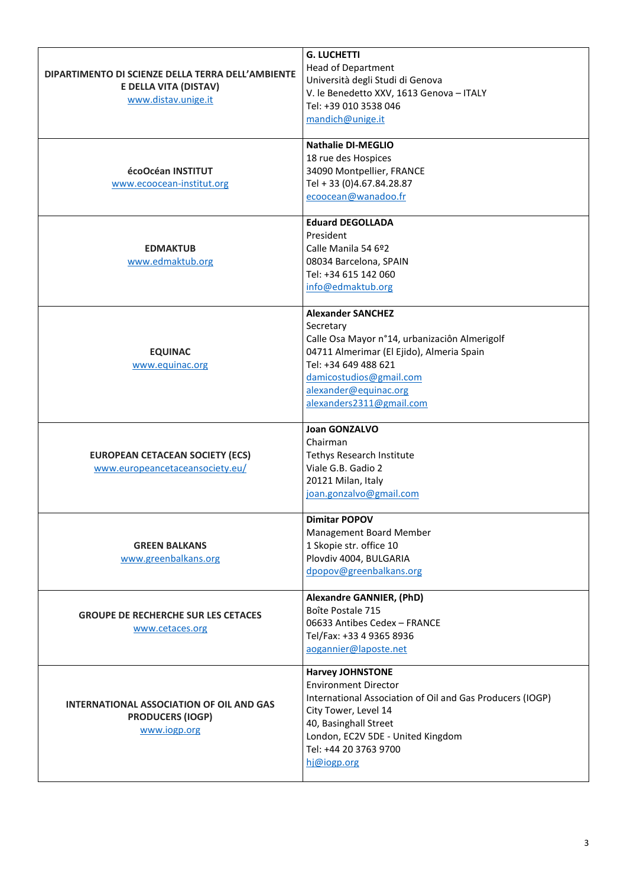| DIPARTIMENTO DI SCIENZE DELLA TERRA DELL'AMBIENTE<br>E DELLA VITA (DISTAV)<br>www.distav.unige.it | <b>G. LUCHETTI</b><br><b>Head of Department</b><br>Università degli Studi di Genova<br>V. le Benedetto XXV, 1613 Genova - ITALY<br>Tel: +39 010 3538 046<br>mandich@unige.it                                                                      |
|---------------------------------------------------------------------------------------------------|---------------------------------------------------------------------------------------------------------------------------------------------------------------------------------------------------------------------------------------------------|
| écoOcéan INSTITUT<br>www.ecoocean-institut.org                                                    | <b>Nathalie DI-MEGLIO</b><br>18 rue des Hospices<br>34090 Montpellier, FRANCE<br>Tel + 33 (0)4.67.84.28.87<br>ecoocean@wanadoo.fr                                                                                                                 |
| <b>EDMAKTUB</b><br>www.edmaktub.org                                                               | <b>Eduard DEGOLLADA</b><br>President<br>Calle Manila 54 6º2<br>08034 Barcelona, SPAIN<br>Tel: +34 615 142 060<br>info@edmaktub.org                                                                                                                |
| <b>EQUINAC</b><br>www.equinac.org                                                                 | <b>Alexander SANCHEZ</b><br>Secretary<br>Calle Osa Mayor n°14, urbanizaciôn Almerigolf<br>04711 Almerimar (El Ejido), Almeria Spain<br>Tel: +34 649 488 621<br>damicostudios@gmail.com<br>alexander@equinac.org<br>alexanders2311@gmail.com       |
| <b>EUROPEAN CETACEAN SOCIETY (ECS)</b><br>www.europeancetaceansociety.eu/                         | <b>Joan GONZALVO</b><br>Chairman<br>Tethys Research Institute<br>Viale G.B. Gadio 2<br>20121 Milan, Italy<br>joan.gonzalvo@gmail.com                                                                                                              |
| <b>GREEN BALKANS</b><br>www.greenbalkans.org                                                      | <b>Dimitar POPOV</b><br>Management Board Member<br>1 Skopie str. office 10<br>Plovdiv 4004, BULGARIA<br>dpopov@greenbalkans.org                                                                                                                   |
| <b>GROUPE DE RECHERCHE SUR LES CETACES</b><br>www.cetaces.org                                     | <b>Alexandre GANNIER, (PhD)</b><br>Boîte Postale 715<br>06633 Antibes Cedex - FRANCE<br>Tel/Fax: +33 4 9365 8936<br>aogannier@laposte.net                                                                                                         |
| INTERNATIONAL ASSOCIATION OF OIL AND GAS<br><b>PRODUCERS (IOGP)</b><br>www.iogp.org               | <b>Harvey JOHNSTONE</b><br><b>Environment Director</b><br>International Association of Oil and Gas Producers (IOGP)<br>City Tower, Level 14<br>40, Basinghall Street<br>London, EC2V 5DE - United Kingdom<br>Tel: +44 20 3763 9700<br>hj@iogp.org |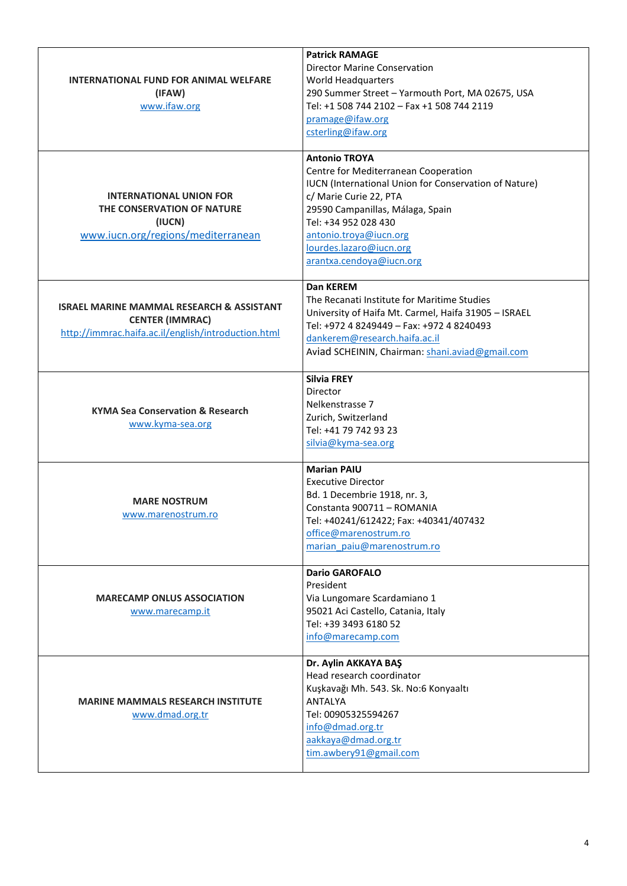| <b>INTERNATIONAL FUND FOR ANIMAL WELFARE</b><br>(IFAW)<br>www.ifaw.org                                                                | <b>Patrick RAMAGE</b><br><b>Director Marine Conservation</b><br>World Headquarters<br>290 Summer Street - Yarmouth Port, MA 02675, USA<br>Tel: +1 508 744 2102 - Fax +1 508 744 2119<br>pramage@ifaw.org<br>csterling@ifaw.org                                                               |
|---------------------------------------------------------------------------------------------------------------------------------------|----------------------------------------------------------------------------------------------------------------------------------------------------------------------------------------------------------------------------------------------------------------------------------------------|
| <b>INTERNATIONAL UNION FOR</b><br>THE CONSERVATION OF NATURE<br>(IUCN)<br>www.iucn.org/regions/mediterranean                          | <b>Antonio TROYA</b><br>Centre for Mediterranean Cooperation<br>IUCN (International Union for Conservation of Nature)<br>c/ Marie Curie 22, PTA<br>29590 Campanillas, Málaga, Spain<br>Tel: +34 952 028 430<br>antonio.troya@iucn.org<br>lourdes.lazaro@iucn.org<br>arantxa.cendoya@iucn.org |
| <b>ISRAEL MARINE MAMMAL RESEARCH &amp; ASSISTANT</b><br><b>CENTER (IMMRAC)</b><br>http://immrac.haifa.ac.il/english/introduction.html | Dan KEREM<br>The Recanati Institute for Maritime Studies<br>University of Haifa Mt. Carmel, Haifa 31905 - ISRAEL<br>Tel: +972 4 8249449 - Fax: +972 4 8240493<br>dankerem@research.haifa.ac.il<br>Aviad SCHEININ, Chairman: shani.aviad@gmail.com                                            |
| <b>KYMA Sea Conservation &amp; Research</b><br>www.kyma-sea.org                                                                       | <b>Silvia FREY</b><br>Director<br>Nelkenstrasse 7<br>Zurich, Switzerland<br>Tel: +41 79 742 93 23<br>silvia@kyma-sea.org                                                                                                                                                                     |
| <b>MARE NOSTRUM</b><br>www.marenostrum.ro                                                                                             | <b>Marian PAIU</b><br><b>Executive Director</b><br>Bd. 1 Decembrie 1918, nr. 3,<br>Constanta 900711 - ROMANIA<br>Tel: +40241/612422; Fax: +40341/407432<br>office@marenostrum.ro<br>marian paiu@marenostrum.ro                                                                               |
| <b>MARECAMP ONLUS ASSOCIATION</b><br>www.marecamp.it                                                                                  | <b>Dario GAROFALO</b><br>President<br>Via Lungomare Scardamiano 1<br>95021 Aci Castello, Catania, Italy<br>Tel: +39 3493 6180 52<br>info@marecamp.com                                                                                                                                        |
| <b>MARINE MAMMALS RESEARCH INSTITUTE</b><br>www.dmad.org.tr                                                                           | Dr. Aylin AKKAYA BAŞ<br>Head research coordinator<br>Kuşkavağı Mh. 543. Sk. No:6 Konyaaltı<br><b>ANTALYA</b><br>Tel: 00905325594267<br>info@dmad.org.tr<br>aakkaya@dmad.org.tr<br>tim.awbery91@gmail.com                                                                                     |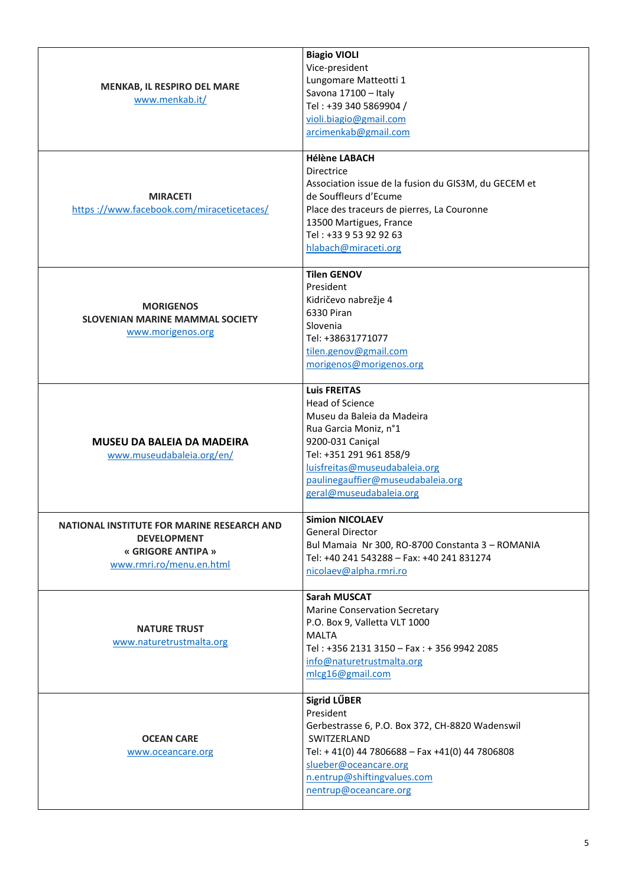| MENKAB, IL RESPIRO DEL MARE<br>www.menkab.it/                                                                             | <b>Biagio VIOLI</b><br>Vice-president<br>Lungomare Matteotti 1<br>Savona 17100 - Italy<br>Tel: +39 340 5869904 /<br>violi.biagio@gmail.com<br>arcimenkab@gmail.com                                                                             |
|---------------------------------------------------------------------------------------------------------------------------|------------------------------------------------------------------------------------------------------------------------------------------------------------------------------------------------------------------------------------------------|
| <b>MIRACETI</b><br>https://www.facebook.com/miraceticetaces/                                                              | <b>Hélène LABACH</b><br>Directrice<br>Association issue de la fusion du GIS3M, du GECEM et<br>de Souffleurs d'Ecume<br>Place des traceurs de pierres, La Couronne<br>13500 Martigues, France<br>Tel: +33 9 53 92 92 63<br>hlabach@miraceti.org |
| <b>MORIGENOS</b><br><b>SLOVENIAN MARINE MAMMAL SOCIETY</b><br>www.morigenos.org                                           | <b>Tilen GENOV</b><br>President<br>Kidričevo nabrežje 4<br>6330 Piran<br>Slovenia<br>Tel: +38631771077<br>tilen.genov@gmail.com<br>morigenos@morigenos.org                                                                                     |
| <b>MUSEU DA BALEIA DA MADEIRA</b><br>www.museudabaleia.org/en/                                                            | <b>Luis FREITAS</b><br>Head of Science<br>Museu da Baleia da Madeira<br>Rua Garcia Moniz, n°1<br>9200-031 Caniçal<br>Tel: +351 291 961 858/9<br>luisfreitas@museudabaleia.org<br>paulinegauffier@museudabaleia.org<br>geral@museudabaleia.org  |
| <b>NATIONAL INSTITUTE FOR MARINE RESEARCH AND</b><br><b>DEVELOPMENT</b><br>« GRIGORE ANTIPA »<br>www.rmri.ro/menu.en.html | <b>Simion NICOLAEV</b><br><b>General Director</b><br>Bul Mamaia Nr 300, RO-8700 Constanta 3 - ROMANIA<br>Tel: +40 241 543288 - Fax: +40 241 831274<br>nicolaev@alpha.rmri.ro                                                                   |
| <b>NATURE TRUST</b><br>www.naturetrustmalta.org                                                                           | <b>Sarah MUSCAT</b><br><b>Marine Conservation Secretary</b><br>P.O. Box 9, Valletta VLT 1000<br><b>MALTA</b><br>Tel: +356 2131 3150 - Fax: + 356 9942 2085<br>info@naturetrustmalta.org<br>mlcg16@gmail.com                                    |
| <b>OCEAN CARE</b><br>www.oceancare.org                                                                                    | Sigrid LŰBER<br>President<br>Gerbestrasse 6, P.O. Box 372, CH-8820 Wadenswil<br>SWITZERLAND<br>Tel: +41(0) 44 7806688 - Fax +41(0) 44 7806808<br>slueber@oceancare.org<br>n.entrup@shiftingvalues.com<br>nentrup@oceancare.org                 |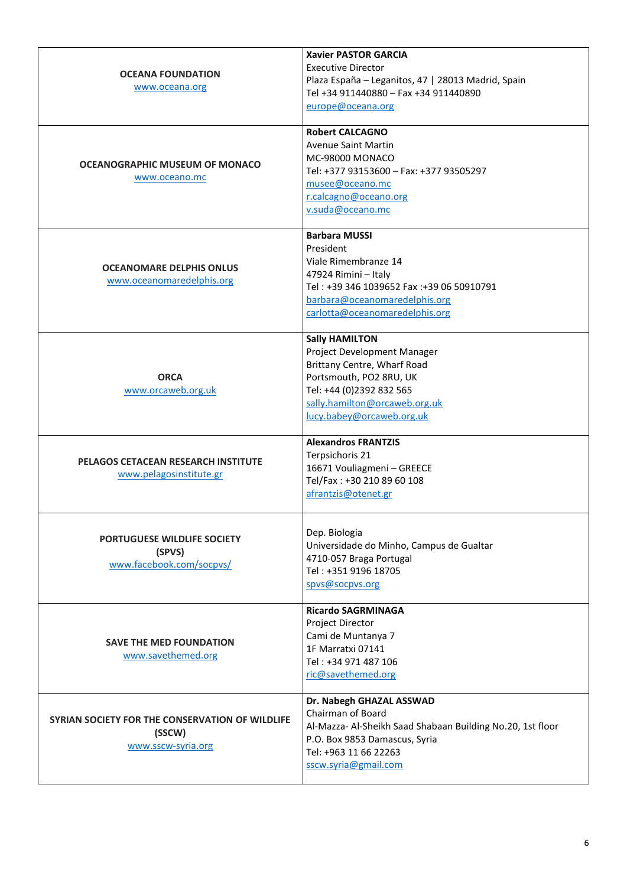| <b>OCEANA FOUNDATION</b><br>www.oceana.org                                      | <b>Xavier PASTOR GARCIA</b><br><b>Executive Director</b><br>Plaza España - Leganitos, 47   28013 Madrid, Spain<br>Tel +34 911440880 - Fax +34 911440890<br>europe@oceana.org                             |
|---------------------------------------------------------------------------------|----------------------------------------------------------------------------------------------------------------------------------------------------------------------------------------------------------|
| OCEANOGRAPHIC MUSEUM OF MONACO<br>www.oceano.mc                                 | <b>Robert CALCAGNO</b><br><b>Avenue Saint Martin</b><br>MC-98000 MONACO<br>Tel: +377 93153600 - Fax: +377 93505297<br>musee@oceano.mc<br>r.calcagno@oceano.org<br>v.suda@oceano.mc                       |
| <b>OCEANOMARE DELPHIS ONLUS</b><br>www.oceanomaredelphis.org                    | <b>Barbara MUSSI</b><br>President<br>Viale Rimembranze 14<br>47924 Rimini - Italy<br>Tel: +39 346 1039652 Fax: +39 06 50910791<br>barbara@oceanomaredelphis.org<br>carlotta@oceanomaredelphis.org        |
| <b>ORCA</b><br>www.orcaweb.org.uk                                               | <b>Sally HAMILTON</b><br>Project Development Manager<br>Brittany Centre, Wharf Road<br>Portsmouth, PO2 8RU, UK<br>Tel: +44 (0)2392 832 565<br>sally.hamilton@orcaweb.org.uk<br>lucy.babey@orcaweb.org.uk |
| PELAGOS CETACEAN RESEARCH INSTITUTE<br>www.pelagosinstitute.gr                  | <b>Alexandros FRANTZIS</b><br>Terpsichoris 21<br>16671 Vouliagmeni - GREECE<br>Tel/Fax: +30 210 89 60 108<br>afrantzis@otenet.gr                                                                         |
| <b>PORTUGUESE WILDLIFE SOCIETY</b><br>(SPVS)<br>www.facebook.com/socpvs/        | Dep. Biologia<br>Universidade do Minho, Campus de Gualtar<br>4710-057 Braga Portugal<br>Tel: +351 9196 18705<br>spvs@socpvs.org                                                                          |
| <b>SAVE THE MED FOUNDATION</b><br>www.savethemed.org                            | <b>Ricardo SAGRMINAGA</b><br>Project Director<br>Cami de Muntanya 7<br>1F Marratxi 07141<br>Tel: +34 971 487 106<br>ric@savethemed.org                                                                   |
| SYRIAN SOCIETY FOR THE CONSERVATION OF WILDLIFE<br>(SSCW)<br>www.sscw-syria.org | Dr. Nabegh GHAZAL ASSWAD<br>Chairman of Board<br>Al-Mazza- Al-Sheikh Saad Shabaan Building No.20, 1st floor<br>P.O. Box 9853 Damascus, Syria<br>Tel: +963 11 66 22263<br>sscw.syria@gmail.com            |